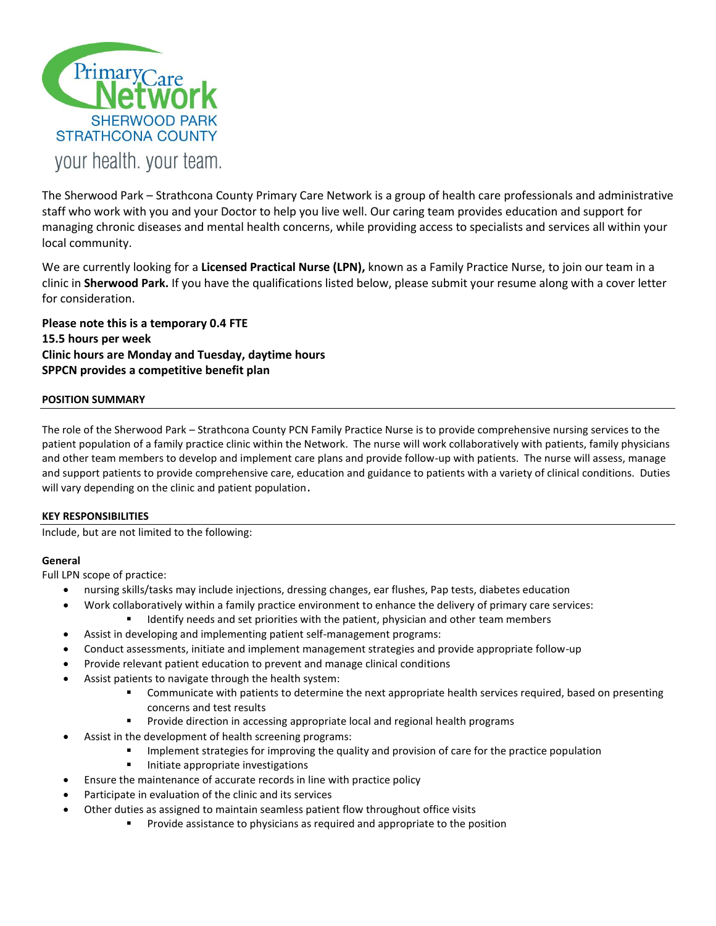

The Sherwood Park – Strathcona County Primary Care Network is a group of health care professionals and administrative staff who work with you and your Doctor to help you live well. Our caring team provides education and support for managing chronic diseases and mental health concerns, while providing access to specialists and services all within your local community.

We are currently looking for a **Licensed Practical Nurse (LPN),** known as a Family Practice Nurse, to join our team in a clinic in **Sherwood Park.** If you have the qualifications listed below, please submit your resume along with a cover letter for consideration.

**Please note this is a temporary 0.4 FTE 15.5 hours per week Clinic hours are Monday and Tuesday, daytime hours SPPCN provides a competitive benefit plan**

# **POSITION SUMMARY**

The role of the Sherwood Park – Strathcona County PCN Family Practice Nurse is to provide comprehensive nursing services to the patient population of a family practice clinic within the Network. The nurse will work collaboratively with patients, family physicians and other team members to develop and implement care plans and provide follow-up with patients. The nurse will assess, manage and support patients to provide comprehensive care, education and guidance to patients with a variety of clinical conditions. Duties will vary depending on the clinic and patient population.

# **KEY RESPONSIBILITIES**

Include, but are not limited to the following:

# **General**

Full LPN scope of practice:

- nursing skills/tasks may include injections, dressing changes, ear flushes, Pap tests, diabetes education
	- Work collaboratively within a family practice environment to enhance the delivery of primary care services:
		- Identify needs and set priorities with the patient, physician and other team members
- Assist in developing and implementing patient self-management programs:
- Conduct assessments, initiate and implement management strategies and provide appropriate follow-up
- Provide relevant patient education to prevent and manage clinical conditions
- Assist patients to navigate through the health system:
	- **Communicate with patients to determine the next appropriate health services required, based on presenting** concerns and test results
	- Provide direction in accessing appropriate local and regional health programs
- Assist in the development of health screening programs:
	- Implement strategies for improving the quality and provision of care for the practice population
		- Initiate appropriate investigations
- Ensure the maintenance of accurate records in line with practice policy
- Participate in evaluation of the clinic and its services
- Other duties as assigned to maintain seamless patient flow throughout office visits
	- Provide assistance to physicians as required and appropriate to the position